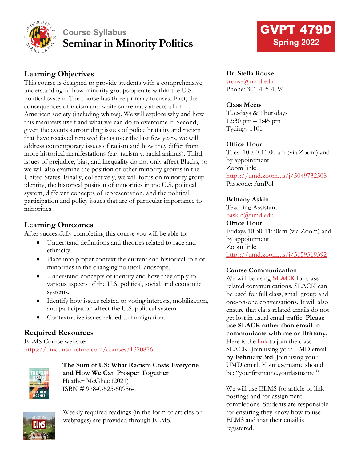

## **Course Syllabus Seminar in Minority Politics**

## **Learning Objectives**

This course is designed to provide students with a comprehensive understanding of how minority groups operate within the U.S. political system. The course has three primary focuses. First, the consequences of racism and white supremacy affects all of American society (including whites). We will explore why and how this manifests itself and what we can do to overcome it. Second, given the events surrounding issues of police brutality and racism that have received renewed focus over the last few years, we will address contemporary issues of racism and how they differ from more historical manifestations (e.g. racism v. racial animus). Third, issues of prejudice, bias, and inequality do not only affect Blacks, so we will also examine the position of other minority groups in the United States. Finally, collectively, we will focus on minority group identity, the historical position of minorities in the U.S. political system, different concepts of representation, and the political participation and policy issues that are of particular importance to minorities.

## **Learning Outcomes**

After successfully completing this course you will be able to:

- Understand definitions and theories related to race and ethnicity.
- Place into proper context the current and historical role of minorities in the changing political landscape.
- Understand concepts of identity and how they apply to various aspects of the U.S. political, social, and economic systems.
- Identify how issues related to voting interests, mobilization, and participation affect the U.S. political system.
- Contextualize issues related to immigration.

## **Required Resources**

ELMS Course website: <https://umd.instructure.com/courses/1320876>



**The Sum of US: What Racism Costs Everyone and How We Can Prosper Together** Heather McGhee (2021) ISBN # 978-0-525-50956-1



Weekly required readings (in the form of articles or webpages) are provided through ELMS.

# GVPT 479D **Spring 2022**

#### **Dr. Stella Rouse**

[srouse@umd.edu](mailto:srouse@umd.edu) Phone: 301-405-4194

#### **Class Meets**

Tuesdays & Thursdays 12:30 pm – 1:45 pm Tydings 1101

#### **Office Hour**

Tues. 10::00-11:00 am (via Zoom) and by appointment Zoom link: <https://umd.zoom.us/j/5049732508> Passcode: AmPol

#### **Brittany Askin**

Teaching Assistant [baskin@umd.edu](mailto:baskin@umd.edu) **Office Hour**: Fridays 10:30-11:30am (via Zoom) and by appointment Zoom link: <https://umd.zoom.us/j/5159319392>

#### **Course Communication**

We will be using **[SLACK](https://slack.com/)** for class related communications. SLACK can be used for full class, small group and one-on-one conversations. It will also ensure that class-related emails do not get lost in usual email traffic. **Please use SLACK rather than email to communicate with me or Brittany.** Here is the [link](https://join.slack.com/t/gvpt479dminor-zhr3298/shared_invite/zt-115bv48pj-NRGN_xJ0JSUSYJ4%7EGEJ_Zg) to join the class SLACK. Join using your UMD email **by February 3rd**. Join using your UMD email. Your username should be: "yourfirstname.yourlastname."

We will use ELMS for article or link postings and for assignment completions. Students are responsible for ensuring they know how to use ELMS and that their email is registered.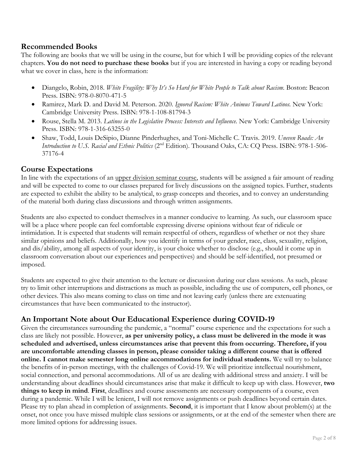#### **Recommended Books**

The following are books that we will be using in the course, but for which I will be providing copies of the relevant chapters. **You do not need to purchase these books** but if you are interested in having a copy or reading beyond what we cover in class, here is the information:

- Diangelo, Robin, 2018. *White Fragility: Why It's So Hard for White People to Talk about Racism.* Boston: Beacon Press. ISBN: 978-0-8070-471-5
- Ramirez, Mark D. and David M. Peterson. 2020. *Ignored Racism: White Animus Toward Latinos.* New York: Cambridge University Press. ISBN: 978-1-108-81794-3
- Rouse, Stella M. 2013. *Latinos in the Legislative Process: Interests and Influence.* New York: Cambridge University Press. ISBN: 978-1-316-63255-0
- Shaw, Todd, Louis DeSipio, Dianne Pinderhughes, and Toni-Michelle C. Travis. 2019. *Uneven Roads: An Introduction to U.S. Racial and Ethnic Politics* (2<sup>nd</sup> Edition). Thousand Oaks, CA: CQ Press. ISBN: 978-1-506-37176-4

#### **Course Expectations**

In line with the expectations of an upper division seminar course, students will be assigned a fair amount of reading and will be expected to come to our classes prepared for lively discussions on the assigned topics. Further, students are expected to exhibit the ability to be analytical, to grasp concepts and theories, and to convey an understanding of the material both during class discussions and through written assignments.

Students are also expected to conduct themselves in a manner conducive to learning. As such, our classroom space will be a place where people can feel comfortable expressing diverse opinions without fear of ridicule or intimidation. It is expected that students will remain respectful of others, regardless of whether or not they share similar opinions and beliefs. Additionally, how you identify in terms of your gender, race, class, sexuality, religion, and dis/ability, among all aspects of your identity, is your choice whether to disclose (e.g., should it come up in classroom conversation about our experiences and perspectives) and should be self-identified, not presumed or imposed.

Students are expected to give their attention to the lecture or discussion during our class sessions. As such, please try to limit other interruptions and distractions as much as possible, including the use of computers, cell phones, or other devices. This also means coming to class on time and not leaving early (unless there are extenuating circumstances that have been communicated to the instructor).

## **An Important Note about Our Educational Experience during COVID-19**

Given the circumstances surrounding the pandemic, a "normal" course experience and the expectations for such a class are likely not possible. However, **as per university policy, a class must be delivered in the mode it was scheduled and advertised, unless circumstances arise that prevent this from occurring. Therefore, if you are uncomfortable attending classes in person, please consider taking a different course that is offered online. I cannot make semester long online accommodations for individual students.** We will try to balance the benefits of in-person meetings, with the challenges of Covid-19. We will prioritize intellectual nourishment, social connection, and personal accommodations. All of us are dealing with additional stress and anxiety. I will be understanding about deadlines should circumstances arise that make it difficult to keep up with class. However, **two things to keep in mind**. **First**, deadlines and course assessments are necessary components of a course, even during a pandemic. While I will be lenient, I will not remove assignments or push deadlines beyond certain dates. Please try to plan ahead in completion of assignments. **Second**, it is important that I know about problem(s) at the onset, not once you have missed multiple class sessions or assignments, or at the end of the semester when there are more limited options for addressing issues.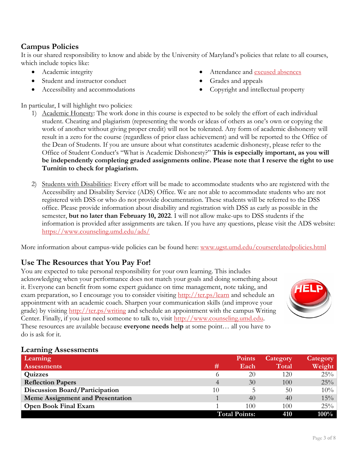## **Campus Policies**

It is our shared responsibility to know and abide by the University of Maryland's policies that relate to all courses, which include topics like:

- Academic integrity
- Student and instructor conduct
- Accessibility and accommodations
- Attendance and [excused absences](https://policies.umd.edu/assets/section-v/V-100G.pdf)
- Grades and appeals
- Copyright and intellectual property

In particular, I will highlight two policies:

- 1) Academic Honesty: The work done in this course is expected to be solely the effort of each individual student. Cheating and plagiarism (representing the words or ideas of others as one's own or copying the work of another without giving proper credit) will not be tolerated. Any form of academic dishonesty will result in a zero for the course (regardless of prior class achievement) and will be reported to the Office of the Dean of Students. If you are unsure about what constitutes academic dishonesty, please refer to the Office of Student Conduct's "What is Academic Dishonesty?" **This is especially important, as you will be independently completing graded assignments online. Please note that I reserve the right to use Turnitin to check for plagiarism.**
- 2) Students with Disabilities: Every effort will be made to accommodate students who are registered with the Accessibility and Disability Service (ADS) Office. We are not able to accommodate students who are not registered with DSS or who do not provide documentation. These students will be referred to the DSS office. Please provide information about disability and registration with DSS as early as possible in the semester, **but no later than February 10, 2022**. I will not allow make-ups to DSS students if the information is provided after assignments are taken. If you have any questions, please visit the ADS website: <https://www.counseling.umd.edu/ads/>

More information about campus-wide policies can be found here: [www.ugst.umd.edu/courserelatedpolicies.html](http://www.ugst.umd.edu/courserelatedpolicies.html)

## **Use The Resources that You Pay For!**

You are expected to take personal responsibility for your own learning. This includes acknowledging when your performance does not match your goals and doing something about it. Everyone can benefit from some expert guidance on time management, note taking, and exam preparation, so I encourage you to consider visiting <http://ter.ps/learn> and schedule an appointment with an academic coach. Sharpen your communication skills (and improve your grade) by visiting <http://ter.ps/writing> and schedule an appointment with the campus Writing Center. Finally, if you just need someone to talk to, visit [http://www.counseling.umd.edu.](http://www.counseling.umd.edu/) These resources are available because **everyone needs help** at some point… all you have to do is ask for it.



#### **Learning Assessments**

| Learning                                |          | <b>Points</b>        | Category | Category |
|-----------------------------------------|----------|----------------------|----------|----------|
| <b>Assessments</b>                      | #        | Each                 | Total    | Weight   |
| Quizzes                                 | $\Omega$ | 20                   | 120      | 25%      |
| <b>Reflection Papers</b>                | 4        | 30                   | 100      | 25%      |
| <b>Discussion Board/Participation</b>   | 10       |                      | 50       | 10%      |
| <b>Meme Assignment and Presentation</b> |          | 40                   | 40       | 15%      |
| <b>Open Book Final Exam</b>             |          | 100                  | 100      | 25%      |
|                                         |          | <b>Total Points:</b> | 410      | $100\%$  |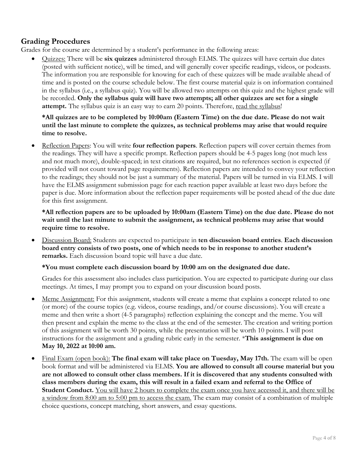## **Grading Procedures**

Grades for the course are determined by a student's performance in the following areas:

• Quizzes: There will be **six quizzes** administered through ELMS. The quizzes will have certain due dates (posted with sufficient notice), will be timed, and will generally cover specific readings, videos, or podcasts. The information you are responsible for knowing for each of these quizzes will be made available ahead of time and is posted on the course schedule below. The first course material quiz is on information contained in the syllabus (i.e., a syllabus quiz). You will be allowed two attempts on this quiz and the highest grade will be recorded. **Only the syllabus quiz will have two attempts; all other quizzes are set for a single**  attempt. The syllabus quiz is an easy way to earn 20 points. Therefore, read the syllabus!

#### **\*All quizzes are to be completed by 10:00am (Eastern Time) on the due date. Please do not wait until the last minute to complete the quizzes, as technical problems may arise that would require time to resolve.**

• Reflection Papers: You will write **four reflection papers**. Reflection papers will cover certain themes from the readings. They will have a specific prompt. Reflection papers should be 4-5 pages long (not much less and not much more), double-spaced; in text citations are required, but no references section is expected (if provided will not count toward page requirements). Reflection papers are intended to convey your reflection to the readings; they should not be just a summary of the material. Papers will be turned in via ELMS. I will have the ELMS assignment submission page for each reaction paper available at least two days before the paper is due. More information about the reflection paper requirements will be posted ahead of the due date for this first assignment.

**\*All reflection papers are to be uploaded by 10:00am (Eastern Time) on the due date. Please do not wait until the last minute to submit the assignment, as technical problems may arise that would require time to resolve.**

• Discussion Board: Students are expected to participate in **ten discussion board entries**. **Each discussion board entry consists of two posts, one of which needs to be in response to another student's remarks.** Each discussion board topic will have a due date.

#### **\*You must complete each discussion board by 10:00 am on the designated due date.**

Grades for this assessment also includes class participation. You are expected to participate during our class meetings. At times, I may prompt you to expand on your discussion board posts.

- Meme Assignment: For this assignment, students will create a meme that explains a concept related to one (or more) of the course topics (e.g. videos, course readings, and/or course discussions). You will create a meme and then write a short (4-5 paragraphs) reflection explaining the concept and the meme. You will then present and explain the meme to the class at the end of the semester. The creation and writing portion of this assignment will be worth 30 points, while the presentation will be worth 10 points. I will post instructions for the assignment and a grading rubric early in the semester. \***This assignment is due on May 10, 2022 at 10:00 am.**
- Final Exam (open book): **The final exam will take place on Tuesday, May 17th.** The exam will be open book format and will be administered via ELMS. **You are allowed to consult all course material but you are not allowed to consult other class members. If it is discovered that any students consulted with class members during the exam, this will result in a failed exam and referral to the Office of Student Conduct.** You will have 2 hours to complete the exam once you have accessed it, and there will be a window from 8:00 am to 5:00 pm to access the exam. The exam may consist of a combination of multiple choice questions, concept matching, short answers, and essay questions.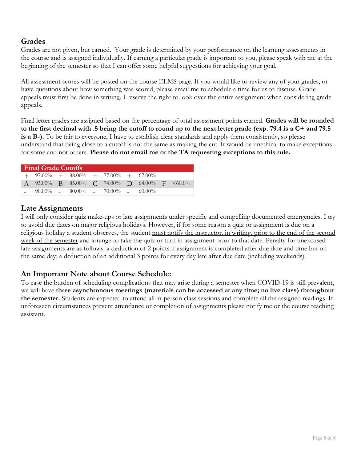## **Grades**

Grades are not given, but earned. Your grade is determined by your performance on the learning assessments in the course and is assigned individually. If earning a particular grade is important to you, please speak with me at the beginning of the semester so that I can offer some helpful suggestions for achieving your goal.

All assessment scores will be posted on the course ELMS page. If you would like to review any of your grades, or have questions about how something was scored, please email me to schedule a time for us to discuss. Grade appeals must first be done in writing. I reserve the right to look over the entire assignment when considering grade appeals.

Final letter grades are assigned based on the percentage of total assessment points earned. **Grades will be rounded to the first decimal with .5 being the cutoff to round up to the next letter grade (exp. 79.4 is a C+ and 79.5 is a B-).** To be fair to everyone, I have to establish clear standards and apply them consistently, so please understand that being close to a cutoff is not the same as making the cut. It would be unethical to make exceptions for some and not others. **Please do not email me or the TA requesting exceptions to this rule.**

| <b>Final Grade Cutoffs</b> |                                             |  |  |  |  |  |                                                     |  |
|----------------------------|---------------------------------------------|--|--|--|--|--|-----------------------------------------------------|--|
|                            | $+$ 97.00% $+$ 88.00% $+$ 77.00% $+$ 67.00% |  |  |  |  |  |                                                     |  |
|                            |                                             |  |  |  |  |  | A 93.00% B 85.00% C 74.00% D 64.00% F $\leq 60.0\%$ |  |
|                            | $-$ 90.00% $-$ 80.00% $-$ 70.00% $-$ 60.00% |  |  |  |  |  |                                                     |  |

## **Late Assignments**

I will only consider quiz make-ups or late assignments under specific and compelling documented emergencies. I try to avoid due dates on major religious holidays. However, if for some reason a quiz or assignment is due on a religious holiday a student observes, the student must notify the instructor, in writing, prior to the end of the second week of the semester and arrange to take the quiz or turn in assignment prior to that date. Penalty for unexcused late assignments are as follows: a deduction of 2 points if assignment is completed after due date and time but on the same day; a deduction of an additional 3 points for every day late after due date (including weekends).

## **An Important Note about Course Schedule:**

To ease the burden of scheduling complications that may arise during a semester when COVID-19 is still prevalent, we will have **three asynchronous meetings (materials can be accessed at any time; no live class) throughout the semester.** Students are expected to attend all in-person class sessions and complete all the assigned readings. If unforeseen circumstances prevent attendance or completion of assignments please notify me or the course teaching assistant.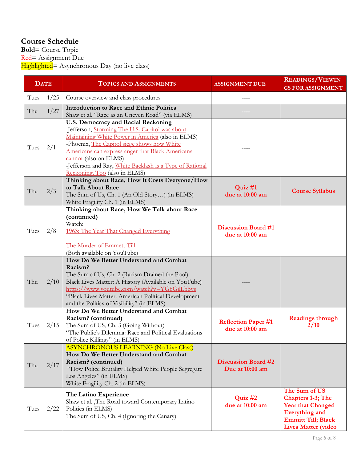## **Course Schedule**

**Bold**= Course Topic Red= Assignment Due Highlighted= Asynchronous Day (no live class)

| <b>DATE</b> |      | <b>TOPICS AND ASSIGNMENTS</b>                                                                                                                                                                                                                                                                                                                                        | <b>ASSIGNMENT DUE</b>                         | <b>READINGS/VIEWIN</b><br><b>GS FOR ASSIGNMENT</b>                                                                                                        |
|-------------|------|----------------------------------------------------------------------------------------------------------------------------------------------------------------------------------------------------------------------------------------------------------------------------------------------------------------------------------------------------------------------|-----------------------------------------------|-----------------------------------------------------------------------------------------------------------------------------------------------------------|
| Tues        | 1/25 | Course overview and class procedures                                                                                                                                                                                                                                                                                                                                 |                                               |                                                                                                                                                           |
| Thu         | 1/27 | <b>Introduction to Race and Ethnic Politics</b><br>Shaw et al. "Race as an Uneven Road" (via ELMS)                                                                                                                                                                                                                                                                   |                                               |                                                                                                                                                           |
| Tues        | 2/1  | U.S. Democracy and Racial Reckoning<br>-Jefferson, Storming The U.S. Capitol was about<br>Maintaining White Power in America (also in ELMS)<br>-Phoenix, The Capitol siege shows how White<br>Americans can express anger that Black Americans<br>cannot (also on ELMS)<br>-Jefferson and Ray, White Backlash is a Type of Rational<br>Reckoning, Too (also in ELMS) |                                               |                                                                                                                                                           |
| Thu         | 2/3  | Thinking about Race, How It Costs Everyone/How<br>to Talk About Race<br>The Sum of Us, Ch. 1 (An Old Story) (in ELMS)<br>White Fragility Ch. 1 (in ELMS)                                                                                                                                                                                                             | Quiz #1<br>due at 10:00 am                    | <b>Course Syllabus</b>                                                                                                                                    |
| Tues        | 2/8  | Thinking about Race, How We Talk about Race<br>(continued)<br>Watch:<br>1963: The Year That Changed Everything<br>The Murder of Emmett Till<br>(Both available on YouTube)                                                                                                                                                                                           | <b>Discussion Board #1</b><br>due at 10:00 am |                                                                                                                                                           |
| Thu         | 2/10 | How Do We Better Understand and Combat<br>Racism?<br>The Sum of Us, Ch. 2 (Racism Drained the Pool)<br>Black Lives Matter: A History (Available on YouTube)<br>https://www.youtube.com/watch?v=YG8GjlLbbvs<br>"Black Lives Matter: American Political Development<br>and the Politics of Visibility" (in ELMS)                                                       |                                               |                                                                                                                                                           |
| Tues        | 2/15 | How Do We Better Understand and Combat<br>Racism? (continued)<br>The Sum of US, Ch. 3 (Going Without)<br>"The Public's Dilemma: Race and Political Evaluations<br>of Police Killings" (in ELMS)                                                                                                                                                                      | <b>Reflection Paper #1</b><br>due at 10:00 am | <b>Readings through</b><br>2/10                                                                                                                           |
| Thu         | 2/17 | <b>ASYNCHRONOUS LEARNING (No Live Class)</b><br>How Do We Better Understand and Combat<br>Racism? (continued)<br>"How Police Brutality Helped White People Segregate<br>Los Angeles" (in ELMS)<br>White Fragility Ch. 2 (in ELMS)                                                                                                                                    | <b>Discussion Board #2</b><br>Due at 10:00 am |                                                                                                                                                           |
| Tues        | 2/22 | The Latino Experience<br>Shaw et al. , The Road toward Contemporary Latino<br>Politics (in ELMS)<br>The Sum of US, Ch. 4 (Ignoring the Canary)                                                                                                                                                                                                                       | Quiz #2<br>due at 10:00 am                    | The Sum of US<br><b>Chapters 1-3; The</b><br><b>Year that Changed</b><br><b>Everything and</b><br><b>Emmitt Till; Black</b><br><b>Lives Matter (video</b> |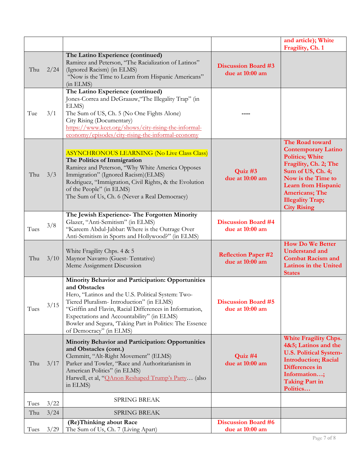|      |      |                                                                                                                                                                                                                                                                                                                                                                        |                                               | and article); White<br>Fragility, Ch. 1                                                                                                                                                                                                              |
|------|------|------------------------------------------------------------------------------------------------------------------------------------------------------------------------------------------------------------------------------------------------------------------------------------------------------------------------------------------------------------------------|-----------------------------------------------|------------------------------------------------------------------------------------------------------------------------------------------------------------------------------------------------------------------------------------------------------|
| Thu  | 2/24 | The Latino Experience (continued)<br>Ramirez and Peterson, "The Racialization of Latinos"<br>(Ignored Racism) (in ELMS)<br>"Now is the Time to Learn from Hispanic Americans"<br>(in ELMS)                                                                                                                                                                             | <b>Discussion Board #3</b><br>due at 10:00 am |                                                                                                                                                                                                                                                      |
| Tue  | 3/1  | The Latino Experience (continued)<br>Jones-Correa and DeGraauw, "The Illegality Trap" (in<br>ELMS)<br>The Sum of US, Ch. 5 (No One Fights Alone)<br>City Rising (Documentary)<br>https://www.kcet.org/shows/city-rising-the-informal-<br>economy/episodes/city-rising-the-informal-economy                                                                             |                                               |                                                                                                                                                                                                                                                      |
| Thu  | 3/3  | <b>ASYNCHRONOUS LEARNING (No Live Class Class)</b><br>The Politics of Immigration<br>Ramirez and Peterson, "Why White America Opposes<br>Immigration" (Ignored Racism)(ELMS)<br>Rodriguez, "Immigration, Civil Rights, & the Evolution<br>of the People" (in ELMS)<br>The Sum of Us, Ch. 6 (Never a Real Democracy)                                                    | Quiz #3<br>due at 10:00 am                    | The Road toward<br><b>Contemporary Latino</b><br><b>Politics; White</b><br>Fragility, Ch. 2; The<br>Sum of US, Ch. 4;<br>Now is the Time to<br><b>Learn from Hispanic</b><br><b>Americans</b> ; The<br><b>Illegality Trap;</b><br><b>City Rising</b> |
| Tues | 3/8  | The Jewish Experience- The Forgotten Minority<br>Glazer, "Anti-Semitism" (in ELMS)<br>"Kareem Abdul-Jabbar: Where is the Outrage Over<br>Anti-Semitism in Sports and Hollywood?" (in ELMS)                                                                                                                                                                             | <b>Discussion Board #4</b><br>due at 10:00 am |                                                                                                                                                                                                                                                      |
| Thu  | 3/10 | White Fragility Chps. 4 & 5<br>Maynor Navarro (Guest-Tentative)<br>Meme Assignment Discussion                                                                                                                                                                                                                                                                          | <b>Reflection Paper #2</b><br>due at 10:00 am | <b>How Do We Better</b><br><b>Understand and</b><br><b>Combat Racism and</b><br><b>Latinos in the United</b><br><b>States</b>                                                                                                                        |
| Tues | 3/15 | Minority Behavior and Participation: Opportunities<br>and Obstacles<br>Hero, "Latinos and the U.S. Political System: Two-<br>Tiered Pluralism- Introduction" (in ELMS)<br>"Griffin and Flavin, Racial Differences in Information,<br>Expectations and Accountability" (in ELMS)<br>Bowler and Segura, 'Taking Part in Politics: The Essence<br>of Democracy" (in ELMS) | <b>Discussion Board #5</b><br>due at 10:00 am |                                                                                                                                                                                                                                                      |
| Thu  | 3/17 | Minority Behavior and Participation: Opportunities<br>and Obstacles (cont.)<br>Clemmitt, "Alt-Right Movement" (ELMS)<br>Parker and Towler, "Race and Authoritarianism in<br>American Politics" (in ELMS)<br>Harwell, et al, " <i>QAnon Reshaped Trump's Party</i> (also<br>in ELMS)                                                                                    | Quiz #4<br>due at 10:00 am                    | White Fragility Chps.<br>4&5; Latinos and the<br><b>U.S. Political System-</b><br><b>Introduction; Racial</b><br>Differences in<br>Information;<br><b>Taking Part in</b><br>Politics                                                                 |
| Tues | 3/22 | <b>SPRING BREAK</b>                                                                                                                                                                                                                                                                                                                                                    |                                               |                                                                                                                                                                                                                                                      |
| Thu  | 3/24 | <b>SPRING BREAK</b>                                                                                                                                                                                                                                                                                                                                                    |                                               |                                                                                                                                                                                                                                                      |
| Tues | 3/29 | (Re)Thinking about Race<br>The Sum of Us, Ch. 7 (Living Apart)                                                                                                                                                                                                                                                                                                         | <b>Discussion Board #6</b><br>due at 10:00 am |                                                                                                                                                                                                                                                      |